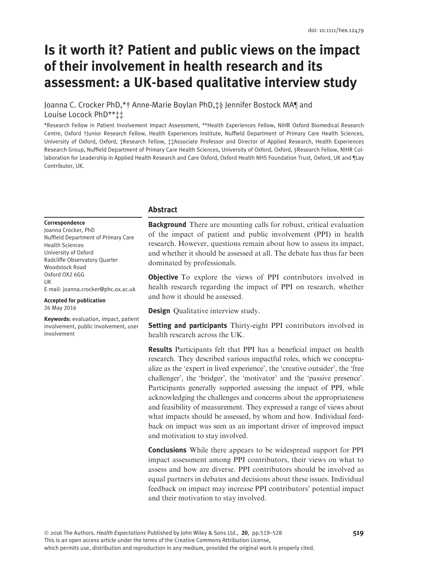# Is it worth it? Patient and public views on the impact of their involvement in health research and its assessment: a UK-based qualitative interview study

Joanna C. Crocker PhD,\*† Anne-Marie Boylan PhD,‡§ Jennifer Bostock MA¶ and Louise Locock PhD\*\*‡‡

\*Research Fellow in Patient Involvement Impact Assessment, \*\*Health Experiences Fellow, NIHR Oxford Biomedical Research Centre, Oxford †Junior Research Fellow, Health Experiences Institute, Nuffield Department of Primary Care Health Sciences, University of Oxford, Oxford, ‡Research Fellow, ‡‡Associate Professor and Director of Applied Research, Health Experiences Research Group, Nuffield Department of Primary Care Health Sciences, University of Oxford, Oxford, §Research Fellow, NIHR Collaboration for Leadership in Applied Health Research and Care Oxford, Oxford Health NHS Foundation Trust, Oxford, UK and ¶Lay Contributor, UK.

#### Abstract

Correspondence Joanna Crocker, PhD Nuffield Department of Primary Care Health Sciences University of Oxford Radcliffe Observatory Quarter Woodstock Road Oxford OX2 6GG UK E-mail: joanna.crocker@phc.ox.ac.uk

Accepted for publication 26 May 2016

Keywords: evaluation, impact, patient involvement, public involvement, user involvement

Background There are mounting calls for robust, critical evaluation of the impact of patient and public involvement (PPI) in health research. However, questions remain about how to assess its impact, and whether it should be assessed at all. The debate has thus far been dominated by professionals.

**Objective** To explore the views of PPI contributors involved in health research regarding the impact of PPI on research, whether and how it should be assessed.

**Design** Qualitative interview study.

Setting and participants Thirty-eight PPI contributors involved in health research across the UK.

Results Participants felt that PPI has a beneficial impact on health research. They described various impactful roles, which we conceptualize as the 'expert in lived experience', the 'creative outsider', the 'free challenger', the 'bridger', the 'motivator' and the 'passive presence'. Participants generally supported assessing the impact of PPI, while acknowledging the challenges and concerns about the appropriateness and feasibility of measurement. They expressed a range of views about what impacts should be assessed, by whom and how. Individual feedback on impact was seen as an important driver of improved impact and motivation to stay involved.

Conclusions While there appears to be widespread support for PPI impact assessment among PPI contributors, their views on what to assess and how are diverse. PPI contributors should be involved as equal partners in debates and decisions about these issues. Individual feedback on impact may increase PPI contributors' potential impact and their motivation to stay involved.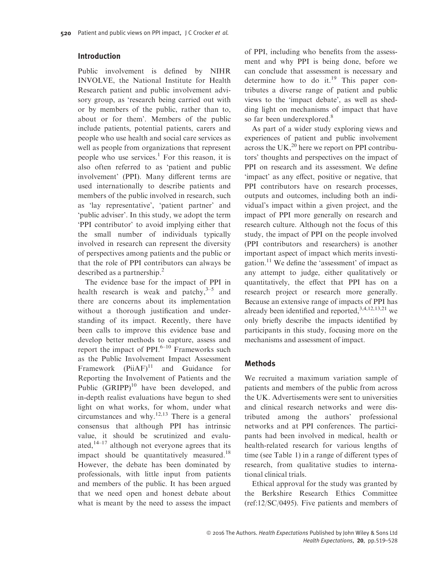## Introduction

Public involvement is defined by NIHR INVOLVE, the National Institute for Health Research patient and public involvement advisory group, as 'research being carried out with or by members of the public, rather than to, about or for them'. Members of the public include patients, potential patients, carers and people who use health and social care services as well as people from organizations that represent people who use services.<sup>1</sup> For this reason, it is also often referred to as 'patient and public involvement' (PPI). Many different terms are used internationally to describe patients and members of the public involved in research, such as 'lay representative', 'patient partner' and 'public adviser'. In this study, we adopt the term 'PPI contributor' to avoid implying either that the small number of individuals typically involved in research can represent the diversity of perspectives among patients and the public or that the role of PPI contributors can always be described as a partnership. $^{2}$ 

The evidence base for the impact of PPI in health research is weak and patchy, $3-5$  and there are concerns about its implementation without a thorough justification and understanding of its impact. Recently, there have been calls to improve this evidence base and develop better methods to capture, assess and report the impact of PPI. $6-10$  Frameworks such as the Public Involvement Impact Assessment Framework  $(PiiAF)^{11}$  and Guidance for Reporting the Involvement of Patients and the Public  $(GRIPP)^{10}$  have been developed, and in-depth realist evaluations have begun to shed light on what works, for whom, under what circumstances and why. $12,13$  There is a general consensus that although PPI has intrinsic value, it should be scrutinized and evaluated, $14-17$  although not everyone agrees that its impact should be quantitatively measured.<sup>18</sup> However, the debate has been dominated by professionals, with little input from patients and members of the public. It has been argued that we need open and honest debate about what is meant by the need to assess the impact of PPI, including who benefits from the assessment and why PPI is being done, before we can conclude that assessment is necessary and determine how to do it.<sup>19</sup> This paper contributes a diverse range of patient and public views to the 'impact debate', as well as shedding light on mechanisms of impact that have so far been underexplored.<sup>8</sup>

As part of a wider study exploring views and experiences of patient and public involvement across the UK, $^{20}$  here we report on PPI contributors' thoughts and perspectives on the impact of PPI on research and its assessment. We define 'impact' as any effect, positive or negative, that PPI contributors have on research processes, outputs and outcomes, including both an individual's impact within a given project, and the impact of PPI more generally on research and research culture. Although not the focus of this study, the impact of PPI on the people involved (PPI contributors and researchers) is another important aspect of impact which merits investigation.<sup>11</sup> We define the 'assessment' of impact as any attempt to judge, either qualitatively or quantitatively, the effect that PPI has on a research project or research more generally. Because an extensive range of impacts of PPI has already been identified and reported,<sup>3,4,12,13,21</sup> we only briefly describe the impacts identified by participants in this study, focusing more on the mechanisms and assessment of impact.

## Methods

We recruited a maximum variation sample of patients and members of the public from across the UK. Advertisements were sent to universities and clinical research networks and were distributed among the authors' professional networks and at PPI conferences. The participants had been involved in medical, health or health-related research for various lengths of time (see Table 1) in a range of different types of research, from qualitative studies to international clinical trials.

Ethical approval for the study was granted by the Berkshire Research Ethics Committee (ref:12/SC/0495). Five patients and members of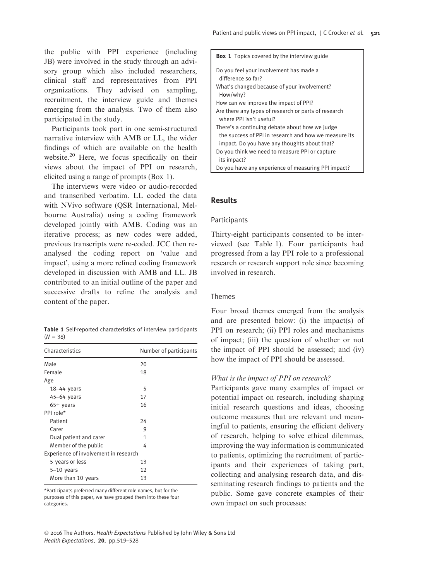the public with PPI experience (including JB) were involved in the study through an advisory group which also included researchers, clinical staff and representatives from PPI organizations. They advised on sampling, recruitment, the interview guide and themes emerging from the analysis. Two of them also participated in the study.

Participants took part in one semi-structured narrative interview with AMB or LL, the wider findings of which are available on the health website.<sup>20</sup> Here, we focus specifically on their views about the impact of PPI on research, elicited using a range of prompts (Box 1).

The interviews were video or audio-recorded and transcribed verbatim. LL coded the data with NVivo software (QSR International, Melbourne Australia) using a coding framework developed jointly with AMB. Coding was an iterative process; as new codes were added, previous transcripts were re-coded. JCC then reanalysed the coding report on 'value and impact', using a more refined coding framework developed in discussion with AMB and LL. JB contributed to an initial outline of the paper and successive drafts to refine the analysis and content of the paper.

|            | Table 1 Self-reported characteristics of interview participants |  |
|------------|-----------------------------------------------------------------|--|
| $(N = 38)$ |                                                                 |  |

| Characteristics                       | Number of participants |  |
|---------------------------------------|------------------------|--|
| Male                                  | 20                     |  |
| Female                                | 18                     |  |
| Age                                   |                        |  |
| $18-44$ years                         | 5                      |  |
| $45-64$ years                         | 17                     |  |
| $65+$ years                           | 16                     |  |
| PPI role*                             |                        |  |
| Patient                               | 24                     |  |
| Carer                                 | 9                      |  |
| Dual patient and carer                | 1                      |  |
| Member of the public                  | 4                      |  |
| Experience of involvement in research |                        |  |
| 5 years or less                       | 13                     |  |
| $5-10$ years                          | 12                     |  |
| More than 10 years                    | 13                     |  |
|                                       |                        |  |

\*Participants preferred many different role names, but for the purposes of this paper, we have grouped them into these four categories.

| Box 1 Topics covered by the interview guide                                                           |
|-------------------------------------------------------------------------------------------------------|
| Do you feel your involvement has made a<br>difference so far?                                         |
| What's changed because of your involvement?<br>How/why?                                               |
| How can we improve the impact of PPI?                                                                 |
| Are there any types of research or parts of research<br>where PPI isn't useful?                       |
| There's a continuing debate about how we judge                                                        |
| the success of PPI in research and how we measure its<br>impact. Do you have any thoughts about that? |
| Do you think we need to measure PPI or capture<br>its impact?                                         |
| Do you have any experience of measuring PPI impact?                                                   |

## Results

#### Participants

Thirty-eight participants consented to be interviewed (see Table 1). Four participants had progressed from a lay PPI role to a professional research or research support role since becoming involved in research.

#### Themes

Four broad themes emerged from the analysis and are presented below: (i) the impact(s) of PPI on research; (ii) PPI roles and mechanisms of impact; (iii) the question of whether or not the impact of PPI should be assessed; and (iv) how the impact of PPI should be assessed.

#### What is the impact of PPI on research?

Participants gave many examples of impact or potential impact on research, including shaping initial research questions and ideas, choosing outcome measures that are relevant and meaningful to patients, ensuring the efficient delivery of research, helping to solve ethical dilemmas, improving the way information is communicated to patients, optimizing the recruitment of participants and their experiences of taking part, collecting and analysing research data, and disseminating research findings to patients and the public. Some gave concrete examples of their own impact on such processes: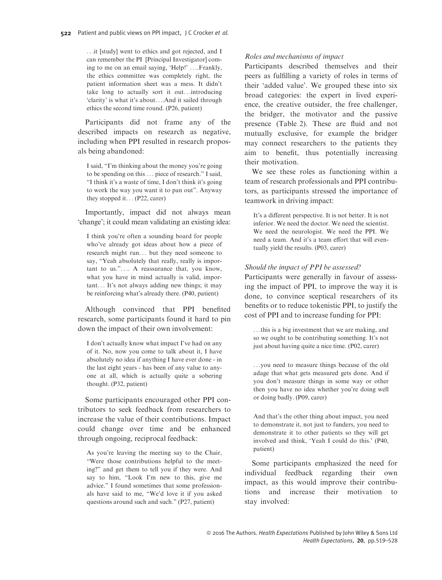...it [study] went to ethics and got rejected, and I can remember the PI [Principal Investigator] coming to me on an email saying, 'Help!' ....Frankly, the ethics committee was completely right, the patient information sheet was a mess. It didn't take long to actually sort it out...introducing 'clarity' is what it's about....And it sailed through ethics the second time round. (P26, patient)

Participants did not frame any of the described impacts on research as negative, including when PPI resulted in research proposals being abandoned:

I said, "I'm thinking about the money you're going to be spending on this ... piece of research." I said, "I think it's a waste of time, I don't think it's going to work the way you want it to pan out". Anyway they stopped it... (P22, carer)

Importantly, impact did not always mean 'change'; it could mean validating an existing idea:

I think you're often a sounding board for people who've already got ideas about how a piece of research might run... but they need someone to say, "Yeah absolutely that really, really is important to us.".... A reassurance that, you know, what you have in mind actually is valid, important... It's not always adding new things; it may be reinforcing what's already there. (P40, patient)

Although convinced that PPI benefited research, some participants found it hard to pin down the impact of their own involvement:

I don't actually know what impact I've had on any of it. No, now you come to talk about it, I have absolutely no idea if anything I have ever done - in the last eight years - has been of any value to anyone at all, which is actually quite a sobering thought. (P32, patient)

Some participants encouraged other PPI contributors to seek feedback from researchers to increase the value of their contributions. Impact could change over time and be enhanced through ongoing, reciprocal feedback:

As you're leaving the meeting say to the Chair, "Were those contributions helpful to the meeting?" and get them to tell you if they were. And say to him, "Look I'm new to this, give me advice." I found sometimes that some professionals have said to me, "We'd love it if you asked questions around such and such." (P27, patient)

#### Roles and mechanisms of impact

Participants described themselves and their peers as fulfilling a variety of roles in terms of their 'added value'. We grouped these into six broad categories: the expert in lived experience, the creative outsider, the free challenger, the bridger, the motivator and the passive presence (Table 2). These are fluid and not mutually exclusive, for example the bridger may connect researchers to the patients they aim to benefit, thus potentially increasing their motivation.

We see these roles as functioning within a team of research professionals and PPI contributors, as participants stressed the importance of teamwork in driving impact:

It's a different perspective. It is not better. It is not inferior. We need the doctor. We need the scientist. We need the neurologist. We need the PPI. We need a team. And it's a team effort that will eventually yield the results. (P03, carer)

## Should the impact of PPI be assessed?

Participants were generally in favour of assessing the impact of PPI, to improve the way it is done, to convince sceptical researchers of its benefits or to reduce tokenistic PPI, to justify the cost of PPI and to increase funding for PPI:

...this is a big investment that we are making, and so we ought to be contributing something. It's not just about having quite a nice time. (P02, carer)

...you need to measure things because of the old adage that what gets measured gets done. And if you don't measure things in some way or other then you have no idea whether you're doing well or doing badly. (P09, carer)

And that's the other thing about impact, you need to demonstrate it, not just to funders, you need to demonstrate it to other patients so they will get involved and think, 'Yeah I could do this.' (P40, patient)

Some participants emphasized the need for individual feedback regarding their own impact, as this would improve their contributions and increase their motivation to stay involved: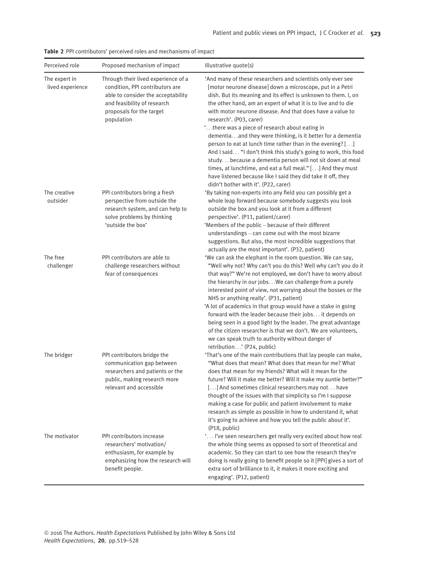| Perceived role                    | Proposed mechanism of impact                                                                                                                                                          | Illustrative quote(s)                                                                                                                                                                                                                                                                                                                                                                                                                                                                                                                                                                                                                                                                                                                                                                                                                      |
|-----------------------------------|---------------------------------------------------------------------------------------------------------------------------------------------------------------------------------------|--------------------------------------------------------------------------------------------------------------------------------------------------------------------------------------------------------------------------------------------------------------------------------------------------------------------------------------------------------------------------------------------------------------------------------------------------------------------------------------------------------------------------------------------------------------------------------------------------------------------------------------------------------------------------------------------------------------------------------------------------------------------------------------------------------------------------------------------|
| The expert in<br>lived experience | Through their lived experience of a<br>condition, PPI contributors are<br>able to consider the acceptability<br>and feasibility of research<br>proposals for the target<br>population | 'And many of these researchers and scientists only ever see<br>[motor neurone disease] down a microscope, put in a Petri<br>dish. But its meaning and its effect is unknown to them. I, on<br>the other hand, am an expert of what it is to live and to die<br>with motor neurone disease. And that does have a value to<br>research'. (P03, carer)<br>' there was a piece of research about eating in<br>dementiaand they were thinking, is it better for a dementia<br>person to eat at lunch time rather than in the evening? []<br>And I said "I don't think this study's going to work, this food<br>study because a dementia person will not sit down at meal<br>times, at lunchtime, and eat a full meal." [] And they must<br>have listened because like I said they did take it off, they<br>didn't bother with it'. (P22, carer) |
| The creative<br>outsider          | PPI contributors bring a fresh<br>perspective from outside the<br>research system, and can help to<br>solve problems by thinking<br>'outside the box'                                 | 'By taking non-experts into any field you can possibly get a<br>whole leap forward because somebody suggests you look<br>outside the box and you look at it from a different<br>perspective'. (P11, patient/carer)<br>'Members of the public - because of their different<br>understandings - can come out with the most bizarre<br>suggestions. But also, the most incredible suggestions that<br>actually are the most important'. (P32, patient)                                                                                                                                                                                                                                                                                                                                                                                        |
| The free<br>challenger            | PPI contributors are able to<br>challenge researchers without<br>fear of consequences                                                                                                 | 'We can ask the elephant in the room question. We can say,<br>"Well why not? Why can't you do this? Well why can't you do it<br>that way?" We're not employed, we don't have to worry about<br>the hierarchy in our jobs. We can challenge from a purely<br>interested point of view, not worrying about the bosses or the<br>NHS or anything really'. (P31, patient)<br>'A lot of academics in that group would have a stake in going<br>forward with the leader because their jobs. it depends on<br>being seen in a good light by the leader. The great advantage<br>of the citizen researcher is that we don't. We are volunteers,<br>we can speak truth to authority without danger of                                                                                                                                                |
| The bridger                       | PPI contributors bridge the<br>communication gap between<br>researchers and patients or the<br>public, making research more<br>relevant and accessible                                | retribution' (P24, public)<br>'That's one of the main contributions that lay people can make,<br>"What does that mean? What does that mean for me? What<br>does that mean for my friends? What will it mean for the<br>future? Will it make me better? Will it make my auntie better?"<br>[] And sometimes clinical researchers may not have<br>thought of the issues with that simplicity so I'm I suppose<br>making a case for public and patient involvement to make<br>research as simple as possible in how to understand it, what<br>it's going to achieve and how you tell the public about it'.<br>(P18, public)                                                                                                                                                                                                                   |
| The motivator                     | PPI contributors increase<br>researchers' motivation/<br>enthusiasm, for example by<br>emphasizing how the research will<br>benefit people.                                           | ' I've seen researchers get really very excited about how real<br>the whole thing seems as opposed to sort of theoretical and<br>academic. So they can start to see how the research they're<br>doing is really going to benefit people so it [PPI] gives a sort of<br>extra sort of brilliance to it, it makes it more exciting and<br>engaging'. (P12, patient)                                                                                                                                                                                                                                                                                                                                                                                                                                                                          |

| Table 2 PPI contributors' perceived roles and mechanisms of impact |  |  |  |
|--------------------------------------------------------------------|--|--|--|
|--------------------------------------------------------------------|--|--|--|

ª 2016 The Authors. Health Expectations Published by John Wiley & Sons Ltd Health Expectations, 20, pp.519–528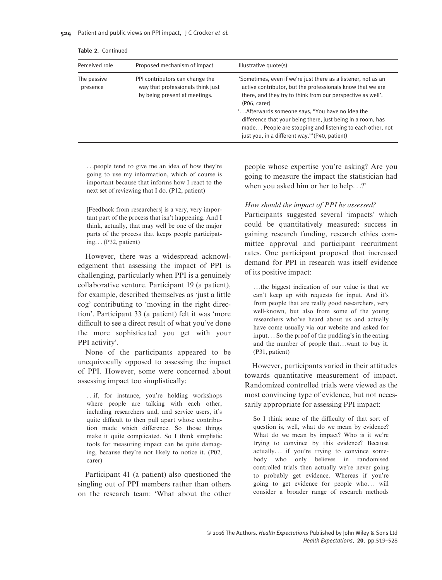| Perceived role          | Proposed mechanism of impact                                                                          | Illustrative quote(s)                                                                                                                                                                                                                                                                                                                                                                                                                       |
|-------------------------|-------------------------------------------------------------------------------------------------------|---------------------------------------------------------------------------------------------------------------------------------------------------------------------------------------------------------------------------------------------------------------------------------------------------------------------------------------------------------------------------------------------------------------------------------------------|
| The passive<br>presence | PPI contributors can change the<br>way that professionals think just<br>by being present at meetings. | 'Sometimes, even if we're just there as a listener, not as an<br>active contributor, but the professionals know that we are<br>there, and they try to think from our perspective as well'.<br>(P06. carer)<br>" Afterwards someone says, "You have no idea the<br>difference that your being there, just being in a room, has<br>made People are stopping and listening to each other, not<br>just you, in a different way."'(P40, patient) |

Table 2. Continued

...people tend to give me an idea of how they're going to use my information, which of course is important because that informs how I react to the next set of reviewing that I do. (P12, patient)

[Feedback from researchers] is a very, very important part of the process that isn't happening. And I think, actually, that may well be one of the major parts of the process that keeps people participating... (P32, patient)

However, there was a widespread acknowledgement that assessing the impact of PPI is challenging, particularly when PPI is a genuinely collaborative venture. Participant 19 (a patient), for example, described themselves as 'just a little cog' contributing to 'moving in the right direction'. Participant 33 (a patient) felt it was 'more difficult to see a direct result of what you've done the more sophisticated you get with your PPI activity'.

None of the participants appeared to be unequivocally opposed to assessing the impact of PPI. However, some were concerned about assessing impact too simplistically:

...if, for instance, you're holding workshops where people are talking with each other, including researchers and, and service users, it's quite difficult to then pull apart whose contribution made which difference. So those things make it quite complicated. So I think simplistic tools for measuring impact can be quite damaging, because they're not likely to notice it. (P02, carer)

Participant 41 (a patient) also questioned the singling out of PPI members rather than others on the research team: 'What about the other people whose expertise you're asking? Are you going to measure the impact the statistician had when you asked him or her to help...?'

## How should the impact of PPI be assessed?

Participants suggested several 'impacts' which could be quantitatively measured: success in gaining research funding, research ethics committee approval and participant recruitment rates. One participant proposed that increased demand for PPI in research was itself evidence of its positive impact:

...the biggest indication of our value is that we can't keep up with requests for input. And it's from people that are really good researchers, very well-known, but also from some of the young researchers who've heard about us and actually have come usually via our website and asked for input... So the proof of the pudding's in the eating and the number of people that...want to buy it. (P31, patient)

However, participants varied in their attitudes towards quantitative measurement of impact. Randomized controlled trials were viewed as the most convincing type of evidence, but not necessarily appropriate for assessing PPI impact:

So I think some of the difficulty of that sort of question is, well, what do we mean by evidence? What do we mean by impact? Who is it we're trying to convince by this evidence? Because actually... if you're trying to convince somebody who only believes in randomised controlled trials then actually we're never going to probably get evidence. Whereas if you're going to get evidence for people who... will consider a broader range of research methods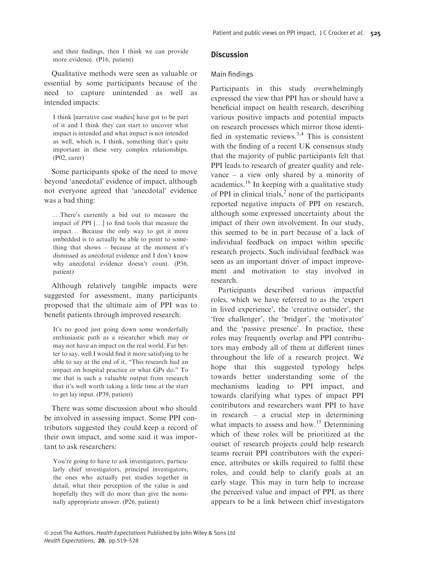and their findings, then I think we can provide more evidence. (P16, patient)

Qualitative methods were seen as valuable or essential by some participants because of the need to capture unintended as well as intended impacts:

I think [narrative case studies] have got to be part of it and I think they can start to uncover what impact is intended and what impact is not intended as well, which is, I think, something that's quite important in these very complex relationships. (P02, carer)

Some participants spoke of the need to move beyond 'anecdotal' evidence of impact, although not everyone agreed that 'anecdotal' evidence was a bad thing:

...There's currently a bid out to measure the impact of PPI [...] to find tools that measure the impact... Because the only way to get it more embedded is to actually be able to point to something that shows – because at the moment it's dismissed as anecdotal evidence and I don't know why anecdotal evidence doesn't count. (P36, patient)

Although relatively tangible impacts were suggested for assessment, many participants proposed that the ultimate aim of PPI was to benefit patients through improved research:

It's no good just going down some wonderfully enthusiastic path as a researcher which may or may not have an impact on the real world. Far better to say, well I would find it more satisfying to be able to say at the end of it, "This research had an impact on hospital practice or what GPs do." To me that is such a valuable output from research that it's well worth taking a little time at the start to get lay input. (P39, patient)

There was some discussion about who should be involved in assessing impact. Some PPI contributors suggested they could keep a record of their own impact, and some said it was important to ask researchers:

You're going to have to ask investigators, particularly chief investigators, principal investigators, the ones who actually put studies together in detail, what their perception of the value is and hopefully they will do more than give the nominally appropriate answer. (P26, patient)

## Discussion

#### Main findings

Participants in this study overwhelmingly expressed the view that PPI has or should have a beneficial impact on health research, describing various positive impacts and potential impacts on research processes which mirror those identified in systematic reviews.<sup>3,4</sup> This is consistent with the finding of a recent UK consensus study that the majority of public participants felt that PPI leads to research of greater quality and relevance – a view only shared by a minority of academics.<sup>16</sup> In keeping with a qualitative study of PPI in clinical trials, $<sup>2</sup>$  none of the participants</sup> reported negative impacts of PPI on research, although some expressed uncertainty about the impact of their own involvement. In our study, this seemed to be in part because of a lack of individual feedback on impact within specific research projects. Such individual feedback was seen as an important driver of impact improvement and motivation to stay involved in research.

Participants described various impactful roles, which we have referred to as the 'expert in lived experience', the 'creative outsider', the 'free challenger', the 'bridger', the 'motivator' and the 'passive presence'. In practice, these roles may frequently overlap and PPI contributors may embody all of them at different times throughout the life of a research project. We hope that this suggested typology helps towards better understanding some of the mechanisms leading to PPI impact, and towards clarifying what types of impact PPI contributors and researchers want PPI to have in research – a crucial step in determining what impacts to assess and how.<sup>15</sup> Determining which of these roles will be prioritized at the outset of research projects could help research teams recruit PPI contributors with the experience, attributes or skills required to fulfil these roles, and could help to clarify goals at an early stage. This may in turn help to increase the perceived value and impact of PPI, as there appears to be a link between chief investigators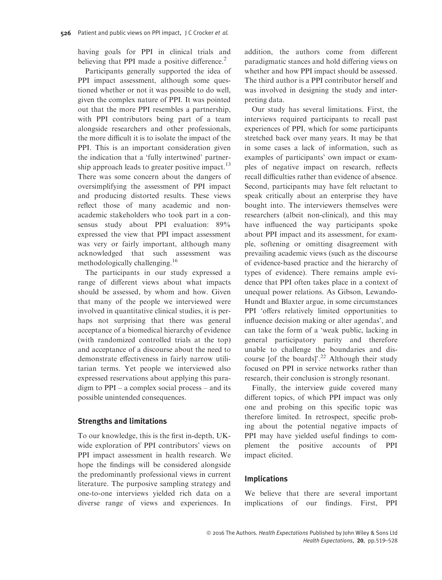having goals for PPI in clinical trials and believing that PPI made a positive difference.<sup>2</sup>

Participants generally supported the idea of PPI impact assessment, although some questioned whether or not it was possible to do well, given the complex nature of PPI. It was pointed out that the more PPI resembles a partnership, with PPI contributors being part of a team alongside researchers and other professionals, the more difficult it is to isolate the impact of the PPI. This is an important consideration given the indication that a 'fully intertwined' partnership approach leads to greater positive impact.<sup>13</sup> There was some concern about the dangers of oversimplifying the assessment of PPI impact and producing distorted results. These views reflect those of many academic and nonacademic stakeholders who took part in a consensus study about PPI evaluation: 89% expressed the view that PPI impact assessment was very or fairly important, although many acknowledged that such assessment was methodologically challenging.<sup>16</sup>

The participants in our study expressed a range of different views about what impacts should be assessed, by whom and how. Given that many of the people we interviewed were involved in quantitative clinical studies, it is perhaps not surprising that there was general acceptance of a biomedical hierarchy of evidence (with randomized controlled trials at the top) and acceptance of a discourse about the need to demonstrate effectiveness in fairly narrow utilitarian terms. Yet people we interviewed also expressed reservations about applying this paradigm to PPI – a complex social process – and its possible unintended consequences.

#### Strengths and limitations

To our knowledge, this is the first in-depth, UKwide exploration of PPI contributors' views on PPI impact assessment in health research. We hope the findings will be considered alongside the predominantly professional views in current literature. The purposive sampling strategy and one-to-one interviews yielded rich data on a diverse range of views and experiences. In addition, the authors come from different paradigmatic stances and hold differing views on whether and how PPI impact should be assessed. The third author is a PPI contributor herself and was involved in designing the study and interpreting data.

Our study has several limitations. First, the interviews required participants to recall past experiences of PPI, which for some participants stretched back over many years. It may be that in some cases a lack of information, such as examples of participants' own impact or examples of negative impact on research, reflects recall difficulties rather than evidence of absence. Second, participants may have felt reluctant to speak critically about an enterprise they have bought into. The interviewers themselves were researchers (albeit non-clinical), and this may have influenced the way participants spoke about PPI impact and its assessment, for example, softening or omitting disagreement with prevailing academic views (such as the discourse of evidence-based practice and the hierarchy of types of evidence). There remains ample evidence that PPI often takes place in a context of unequal power relations. As Gibson, Lewando-Hundt and Blaxter argue, in some circumstances PPI 'offers relatively limited opportunities to influence decision making or alter agendas', and can take the form of a 'weak public, lacking in general participatory parity and therefore unable to challenge the boundaries and discourse [of the boards]'.<sup>22</sup> Although their study focused on PPI in service networks rather than research, their conclusion is strongly resonant.

Finally, the interview guide covered many different topics, of which PPI impact was only one and probing on this specific topic was therefore limited. In retrospect, specific probing about the potential negative impacts of PPI may have yielded useful findings to complement the positive accounts of PPI impact elicited.

## Implications

We believe that there are several important implications of our findings. First, PPI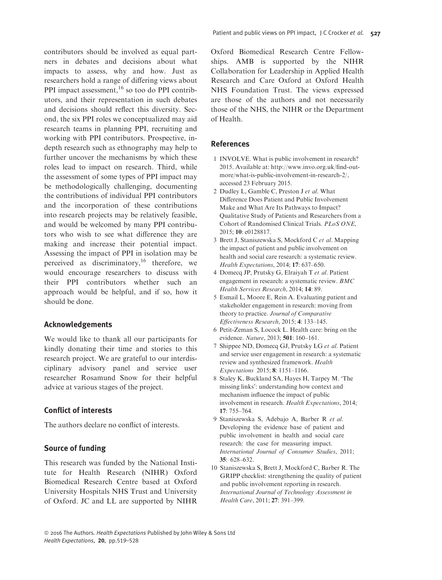contributors should be involved as equal partners in debates and decisions about what impacts to assess, why and how. Just as researchers hold a range of differing views about PPI impact assessment,<sup>16</sup> so too do PPI contributors, and their representation in such debates and decisions should reflect this diversity. Second, the six PPI roles we conceptualized may aid research teams in planning PPI, recruiting and working with PPI contributors. Prospective, indepth research such as ethnography may help to further uncover the mechanisms by which these roles lead to impact on research. Third, while the assessment of some types of PPI impact may be methodologically challenging, documenting the contributions of individual PPI contributors and the incorporation of these contributions into research projects may be relatively feasible, and would be welcomed by many PPI contributors who wish to see what difference they are making and increase their potential impact. Assessing the impact of PPI in isolation may be perceived as discriminatory,<sup>16</sup> therefore, we would encourage researchers to discuss with their PPI contributors whether such an approach would be helpful, and if so, how it should be done.

## Acknowledgements

We would like to thank all our participants for kindly donating their time and stories to this research project. We are grateful to our interdisciplinary advisory panel and service user researcher Rosamund Snow for their helpful advice at various stages of the project.

## Conflict of interests

The authors declare no conflict of interests.

## Source of funding

This research was funded by the National Institute for Health Research (NIHR) Oxford Biomedical Research Centre based at Oxford University Hospitals NHS Trust and University of Oxford. JC and LL are supported by NIHR Oxford Biomedical Research Centre Fellowships. AMB is supported by the NIHR Collaboration for Leadership in Applied Health Research and Care Oxford at Oxford Health NHS Foundation Trust. The views expressed are those of the authors and not necessarily those of the NHS, the NIHR or the Department of Health.

## References

- 1 INVOLVE. What is public involvement in research? 2015. Available at: [http://www.invo.org.uk/find-out](http://www.invo.org.uk/find-out-more/what-is-public-involvement-in-research-2/)[more/what-is-public-involvement-in-research-2/](http://www.invo.org.uk/find-out-more/what-is-public-involvement-in-research-2/), accessed 23 February 2015.
- 2 Dudley L, Gamble C, Preston J et al. What Difference Does Patient and Public Involvement Make and What Are Its Pathways to Impact? Qualitative Study of Patients and Researchers from a Cohort of Randomised Clinical Trials. PLoS ONE, 2015; 10: e0128817.
- 3 Brett J, Staniszewska S, Mockford C et al. Mapping the impact of patient and public involvement on health and social care research: a systematic review. Health Expectations, 2014; 17: 637–650.
- 4 Domecq JP, Prutsky G, Elraiyah T et al. Patient engagement in research: a systematic review. BMC Health Services Research, 2014; 14: 89.
- 5 Esmail L, Moore E, Rein A. Evaluating patient and stakeholder engagement in research: moving from theory to practice. Journal of Comparative Effectiveness Research, 2015; 4: 133–145.
- 6 Petit-Zeman S, Locock L. Health care: bring on the evidence. Nature, 2013; 501: 160–161.
- 7 Shippee ND, Domecq GJ, Prutsky LG et al. Patient and service user engagement in research: a systematic review and synthesized framework. Health Expectations 2015; 8: 1151–1166.
- 8 Staley K, Buckland SA, Hayes H, Tarpey M. 'The missing links': understanding how context and mechanism influence the impact of public involvement in research. Health Expectations, 2014; 17: 755–764.
- 9 Staniszewska S, Adebajo A, Barber R et al. Developing the evidence base of patient and public involvement in health and social care research: the case for measuring impact. International Journal of Consumer Studies, 2011;  $35.628 - 632$
- 10 Staniszewska S, Brett J, Mockford C, Barber R. The GRIPP checklist: strengthening the quality of patient and public involvement reporting in research. International Journal of Technology Assessment in Health Care, 2011; 27: 391–399.